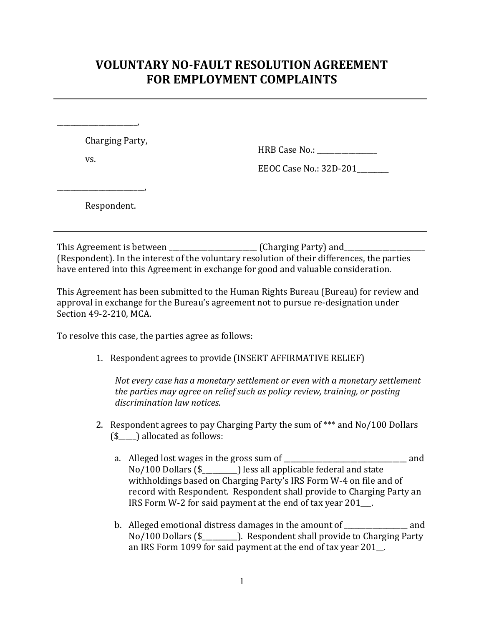## **VOLUNTARY NO-FAULT RESOLUTION AGREEMENT FOR EMPLOYMENT COMPLAINTS**

Charging Party,

vs.

\_\_\_\_\_\_\_\_\_\_\_\_\_\_\_\_\_\_\_\_\_\_\_,

HRB Case No.:

EEOC Case No.: 32D-201\_\_\_\_\_\_\_\_\_

Respondent.

\_\_\_\_\_\_\_\_\_\_\_\_\_\_\_\_\_\_\_\_\_\_\_\_\_,

This Agreement is between \_\_\_\_\_\_\_\_\_\_\_\_\_\_\_\_\_\_\_\_\_\_\_\_\_ (Charging Party) and\_\_\_\_\_\_\_\_\_\_\_\_\_\_\_\_\_\_\_\_\_\_\_ (Respondent). In the interest of the voluntary resolution of their differences, the parties have entered into this Agreement in exchange for good and valuable consideration.

This Agreement has been submitted to the Human Rights Bureau (Bureau) for review and approval in exchange for the Bureau's agreement not to pursue re-designation under Section 49-2-210, MCA.

To resolve this case, the parties agree as follows:

1. Respondent agrees to provide (INSERT AFFIRMATIVE RELIEF)

*Not every case has a monetary settlement or even with a monetary settlement the parties may agree on relief such as policy review, training, or posting discrimination law notices.* 

- 2. Respondent agrees to pay Charging Party the sum of \*\*\* and No/100 Dollars (\$\_\_\_\_\_) allocated as follows:
	- a. Alleged lost wages in the gross sum of \_\_\_\_\_\_\_\_\_\_\_\_\_\_\_\_\_\_\_\_\_\_\_\_\_\_\_\_\_\_\_\_\_\_\_ and No/100 Dollars (\$\_\_\_\_\_\_\_\_\_\_) less all applicable federal and state withholdings based on Charging Party's IRS Form W-4 on file and of record with Respondent. Respondent shall provide to Charging Party an IRS Form W-2 for said payment at the end of tax year 201\_\_\_.
	- b. Alleged emotional distress damages in the amount of \_\_\_\_\_\_\_\_\_\_\_\_\_\_\_\_\_\_ and No/100 Dollars (\$\_\_\_\_\_\_\_\_\_\_). Respondent shall provide to Charging Party an IRS Form 1099 for said payment at the end of tax year 201\_\_.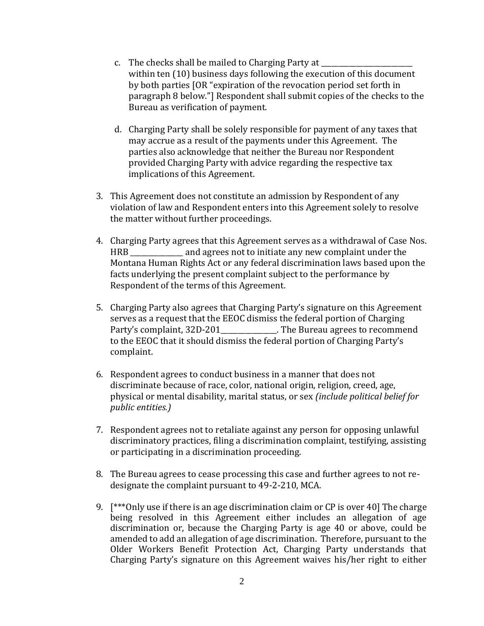- c. The checks shall be mailed to Charging Party at within ten (10) business days following the execution of this document by both parties [OR "expiration of the revocation period set forth in paragraph 8 below."] Respondent shall submit copies of the checks to the Bureau as verification of payment.
- d. Charging Party shall be solely responsible for payment of any taxes that may accrue as a result of the payments under this Agreement. The parties also acknowledge that neither the Bureau nor Respondent provided Charging Party with advice regarding the respective tax implications of this Agreement.
- 3. This Agreement does not constitute an admission by Respondent of any violation of law and Respondent enters into this Agreement solely to resolve the matter without further proceedings.
- 4. Charging Party agrees that this Agreement serves as a withdrawal of Case Nos. HRB \_\_\_\_\_\_\_\_\_\_\_\_\_\_\_ and agrees not to initiate any new complaint under the Montana Human Rights Act or any federal discrimination laws based upon the facts underlying the present complaint subject to the performance by Respondent of the terms of this Agreement.
- 5. Charging Party also agrees that Charging Party's signature on this Agreement serves as a request that the EEOC dismiss the federal portion of Charging Party's complaint, 32D-201\_\_\_\_\_\_\_\_\_\_\_\_\_\_\_\_. The Bureau agrees to recommend to the EEOC that it should dismiss the federal portion of Charging Party's complaint.
- 6. Respondent agrees to conduct business in a manner that does not discriminate because of race, color, national origin, religion, creed, age, physical or mental disability, marital status, or sex *(include political belief for public entities.)*
- 7. Respondent agrees not to retaliate against any person for opposing unlawful discriminatory practices, filing a discrimination complaint, testifying, assisting or participating in a discrimination proceeding.
- 8. The Bureau agrees to cease processing this case and further agrees to not redesignate the complaint pursuant to 49-2-210, MCA.
- 9. [\*\*\*Only use if there is an age discrimination claim or CP is over 40] The charge being resolved in this Agreement either includes an allegation of age discrimination or, because the Charging Party is age 40 or above, could be amended to add an allegation of age discrimination. Therefore, pursuant to the Older Workers Benefit Protection Act, Charging Party understands that Charging Party's signature on this Agreement waives his/her right to either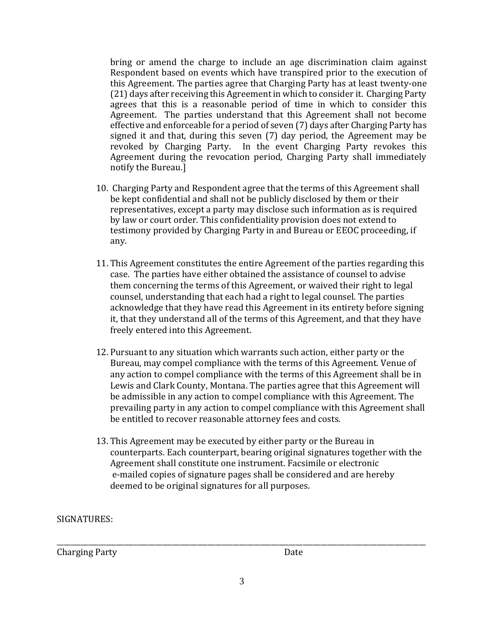bring or amend the charge to include an age discrimination claim against Respondent based on events which have transpired prior to the execution of this Agreement. The parties agree that Charging Party has at least twenty-one (21) days after receiving this Agreement in which to consider it. Charging Party agrees that this is a reasonable period of time in which to consider this Agreement. The parties understand that this Agreement shall not become effective and enforceable for a period of seven (7) days after Charging Party has signed it and that, during this seven (7) day period, the Agreement may be revoked by Charging Party. In the event Charging Party revokes this Agreement during the revocation period, Charging Party shall immediately notify the Bureau.]

- 10. Charging Party and Respondent agree that the terms of this Agreement shall be kept confidential and shall not be publicly disclosed by them or their representatives, except a party may disclose such information as is required by law or court order. This confidentiality provision does not extend to testimony provided by Charging Party in and Bureau or EEOC proceeding, if any.
- 11. This Agreement constitutes the entire Agreement of the parties regarding this case. The parties have either obtained the assistance of counsel to advise them concerning the terms of this Agreement, or waived their right to legal counsel, understanding that each had a right to legal counsel. The parties acknowledge that they have read this Agreement in its entirety before signing it, that they understand all of the terms of this Agreement, and that they have freely entered into this Agreement.
- 12. Pursuant to any situation which warrants such action, either party or the Bureau, may compel compliance with the terms of this Agreement. Venue of any action to compel compliance with the terms of this Agreement shall be in Lewis and Clark County, Montana. The parties agree that this Agreement will be admissible in any action to compel compliance with this Agreement. The prevailing party in any action to compel compliance with this Agreement shall be entitled to recover reasonable attorney fees and costs.
- 13. This Agreement may be executed by either party or the Bureau in counterparts. Each counterpart, bearing original signatures together with the Agreement shall constitute one instrument. Facsimile or electronic e-mailed copies of signature pages shall be considered and are hereby deemed to be original signatures for all purposes.

SIGNATURES:

Charging Party Date

\_\_\_\_\_\_\_\_\_\_\_\_\_\_\_\_\_\_\_\_\_\_\_\_\_\_\_\_\_\_\_\_\_\_\_\_\_\_\_\_\_\_\_\_\_\_\_\_\_\_\_\_\_\_\_\_\_\_\_\_\_\_\_\_\_\_\_\_\_\_\_\_\_\_\_\_\_\_\_\_\_\_\_\_\_\_\_\_\_\_\_\_\_\_\_\_\_\_\_\_\_\_\_\_\_